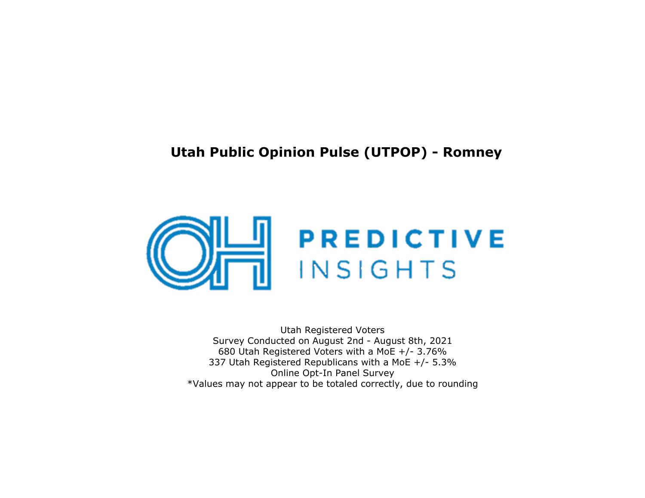# **Utah Public Opinion Pulse (UTPOP) - Romney**



Utah Registered Voters Survey Conducted on August 2nd - August <sup>8</sup>th, 2021 680 Utah Registered Voters with a MoE +/- 3.76% 337 Utah Registered Republicans with a MoE +/- 5.3%Online Opt-In Panel Survey\*Values may not appear to be totaled correctly, due to rounding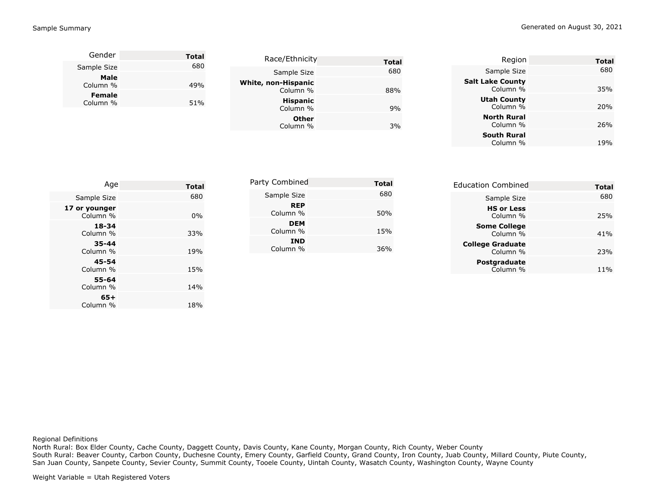| Gender           | <b>Total</b> |                     |              |
|------------------|--------------|---------------------|--------------|
| Sample Size      | 680          | Race/Ethnicity      | <b>Total</b> |
|                  |              | Sample Size         | 680          |
| Male<br>Column % | 49%          | White, non-Hispanic |              |
| <b>Female</b>    |              | Column %            | 88%          |
| Column %         | 51%          | <b>Hispanic</b>     |              |
|                  |              | Column %            | 9%           |
|                  |              | <b>Other</b>        |              |
|                  |              | Column %            | 3%           |
|                  |              |                     |              |

| Region                              | Total           |
|-------------------------------------|-----------------|
| Sample Size                         | 680             |
| <b>Salt Lake County</b><br>Column % | 35%             |
| <b>Utah County</b><br>Column %      | <b>20%</b>      |
| <b>North Rural</b><br>Column %      | 26%             |
| <b>South Rural</b><br>Column %      | 19 <sub>%</sub> |
|                                     |                 |

| Age                       | <b>Total</b> | Party Combined         | <b>Total</b> | <b>Education Combined</b>           | <b>Total</b> |
|---------------------------|--------------|------------------------|--------------|-------------------------------------|--------------|
| Sample Size               | 680          | Sample Size            | 680          | Sample Size                         | 680          |
| 17 or younger<br>Column % | 0%           | <b>REP</b><br>Column % | 50%          | <b>HS or Less</b><br>Column %       | 25%          |
| 18-34<br>Column %         | 33%          | <b>DEM</b><br>Column % | 15%          | <b>Some College</b><br>Column %     | 41%          |
| 35-44<br>Column %         | 19%          | <b>IND</b><br>Column % | 36%          | <b>College Graduate</b><br>Column % | 23%          |
| $45 - 54$<br>Column %     | 15%          |                        |              | Postgraduate<br>Column %            | 11%          |
| 55-64                     |              |                        |              |                                     |              |

Regional Definitions

 North Rural: Box Elder County, Cache County, Daggett County, Davis County, Kane County, Morgan County, Rich County, Weber County South Rural: Beaver County, Carbon County, Duchesne County, Emery County, Garfield County, Grand County, Iron County, Juab County, Millard County, Piute County, San Juan County, Sanpete County, Sevier County, Summit County, Tooele County, Uintah County, Wasatch County, Washington County, Wayne County

Column %

**65+**Column %

% and the  $14\%$ 

 $\%$  18%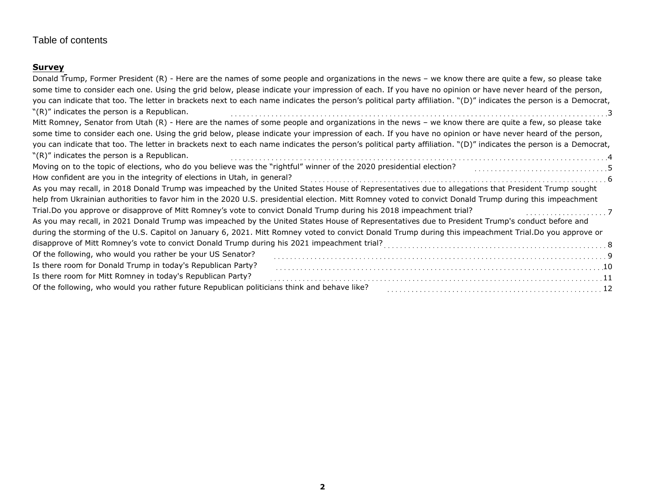# Table of contents

# **Survey**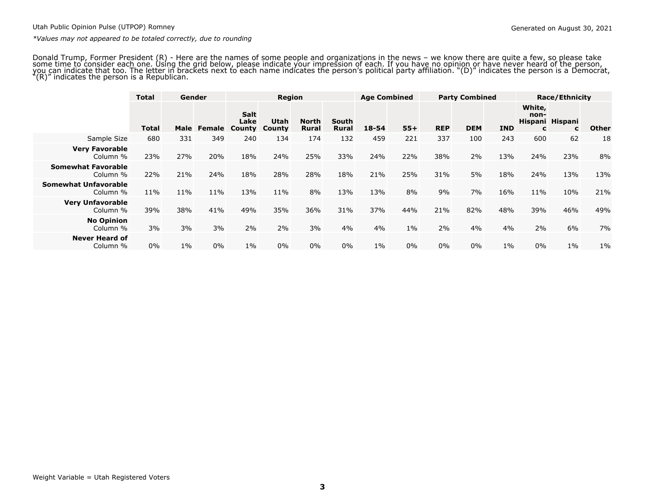Donald Trump, Former President (R) - Here are the names of some people and organizations in the news – we know there are quite a few, so please take<br>some time to consider each one. Using the grid below, please indicate you

|                                         | <b>Total</b> | Gender |     |                                             |                       | <b>Region</b>                |                | <b>Age Combined</b> |       | <b>Party Combined</b> |            |            | <b>Race/Ethnicity</b> |                                 |       |
|-----------------------------------------|--------------|--------|-----|---------------------------------------------|-----------------------|------------------------------|----------------|---------------------|-------|-----------------------|------------|------------|-----------------------|---------------------------------|-------|
|                                         | Total        | Male   |     | <b>Salt</b><br>Lake<br><b>Female County</b> | Utah<br><b>County</b> | <b>North</b><br><b>Rural</b> | South<br>Rural | $18 - 54$           | $55+$ | <b>REP</b>            | <b>DEM</b> | <b>IND</b> | White,<br>non-<br>C   | Hispani Hispani<br>$\mathbf{C}$ | Other |
| Sample Size                             | 680          | 331    | 349 | 240                                         | 134                   | 174                          | 132            | 459                 | 221   | 337                   | 100        | 243        | 600                   | 62                              | 18    |
| <b>Very Favorable</b><br>Column %       | 23%          | 27%    | 20% | 18%                                         | 24%                   | 25%                          | 33%            | 24%                 | 22%   | 38%                   | 2%         | 13%        | 24%                   | 23%                             | 8%    |
| <b>Somewhat Favorable</b><br>Column %   | 22%          | 21%    | 24% | 18%                                         | 28%                   | 28%                          | 18%            | 21%                 | 25%   | 31%                   | 5%         | 18%        | 24%                   | 13%                             | 13%   |
| <b>Somewhat Unfavorable</b><br>Column % | 11%          | 11%    | 11% | 13%                                         | 11%                   | 8%                           | 13%            | 13%                 | 8%    | 9%                    | 7%         | 16%        | 11%                   | 10%                             | 21%   |
| <b>Very Unfavorable</b><br>Column %     | 39%          | 38%    | 41% | 49%                                         | 35%                   | 36%                          | 31%            | 37%                 | 44%   | 21%                   | 82%        | 48%        | 39%                   | 46%                             | 49%   |
| <b>No Opinion</b><br>Column %           | 3%           | 3%     | 3%  | 2%                                          | 2%                    | 3%                           | 4%             | 4%                  | $1\%$ | 2%                    | 4%         | 4%         | 2%                    | 6%                              | 7%    |
| <b>Never Heard of</b><br>Column %       | $0\%$        | $1\%$  | 0%  | $1\%$                                       | 0%                    | 0%                           | $0\%$          | $1\%$               | 0%    | $0\%$                 | 0%         | $1\%$      | 0%                    | $1\%$                           | $1\%$ |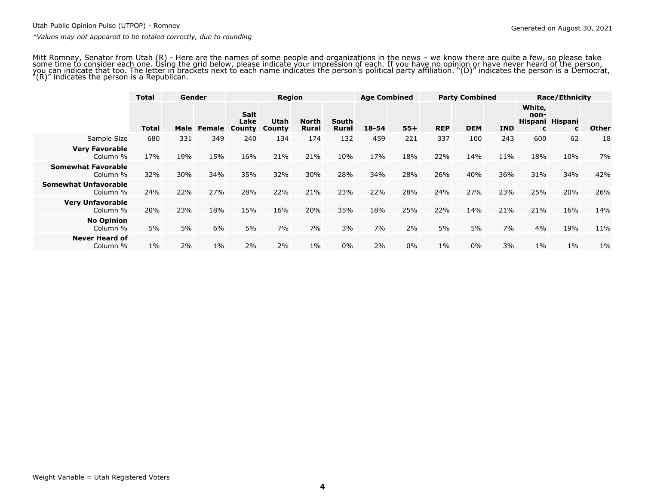Mitt Romney, Senator from Utah (R) - Here are the names of some people and organizations in the news – we know there are quite a few, so please take<br>some time to consider each one. Using the grid below, please indicate you

|                                         | <b>Total</b> | Gender |       | <b>Region</b>                               |                       |                              | <b>Age Combined</b> |           | <b>Party Combined</b> |            |            | <b>Race/Ethnicity</b> |                     |                                 |              |
|-----------------------------------------|--------------|--------|-------|---------------------------------------------|-----------------------|------------------------------|---------------------|-----------|-----------------------|------------|------------|-----------------------|---------------------|---------------------------------|--------------|
|                                         | Total        | Male   |       | <b>Salt</b><br>Lake<br><b>Female County</b> | Utah<br><b>County</b> | <b>North</b><br><b>Rural</b> | South<br>Rural      | $18 - 54$ | $55+$                 | <b>REP</b> | <b>DEM</b> | <b>IND</b>            | White,<br>non-<br>c | Hispani Hispani<br>$\mathbf{C}$ | <b>Other</b> |
| Sample Size                             | 680          | 331    | 349   | 240                                         | 134                   | 174                          | 132                 | 459       | 221                   | 337        | 100        | 243                   | 600                 | 62                              | 18           |
| <b>Very Favorable</b><br>Column %       | 17%          | 19%    | 15%   | 16%                                         | 21%                   | 21%                          | 10%                 | 17%       | 18%                   | 22%        | 14%        | 11%                   | 18%                 | 10%                             | 7%           |
| <b>Somewhat Favorable</b><br>Column %   | 32%          | 30%    | 34%   | 35%                                         | 32%                   | 30%                          | 28%                 | 34%       | 28%                   | 26%        | 40%        | 36%                   | 31%                 | 34%                             | 42%          |
| <b>Somewhat Unfavorable</b><br>Column % | 24%          | 22%    | 27%   | 28%                                         | 22%                   | 21%                          | 23%                 | 22%       | 28%                   | 24%        | 27%        | 23%                   | 25%                 | 20%                             | 26%          |
| <b>Very Unfavorable</b><br>Column %     | 20%          | 23%    | 18%   | 15%                                         | 16%                   | 20%                          | 35%                 | 18%       | 25%                   | 22%        | 14%        | 21%                   | 21%                 | 16%                             | 14%          |
| <b>No Opinion</b><br>Column %           | 5%           | 5%     | 6%    | 5%                                          | 7%                    | 7%                           | 3%                  | 7%        | 2%                    | 5%         | 5%         | 7%                    | 4%                  | 19%                             | 11%          |
| <b>Never Heard of</b><br>Column %       | $1\%$        | 2%     | $1\%$ | 2%                                          | 2%                    | $1\%$                        | $0\%$               | 2%        | 0%                    | $1\%$      | $0\%$      | 3%                    | $1\%$               | $1\%$                           | $1\%$        |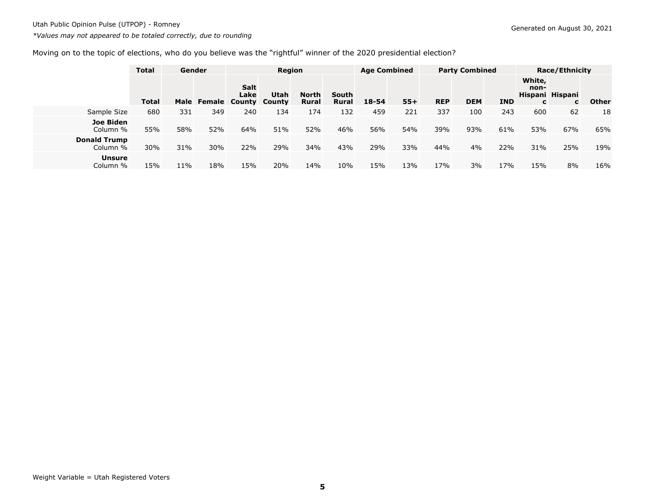# Moving on to the topic of elections, who do you believe was the "rightful" winner of the 2020 presidential election?

|                                 | <b>Total</b> |     | Gender      |                        | Region         |                |                              | <b>Age Combined</b> |       | <b>Party Combined</b> |            |            | <b>Race/Ethnicity</b> |                      |              |  |
|---------------------------------|--------------|-----|-------------|------------------------|----------------|----------------|------------------------------|---------------------|-------|-----------------------|------------|------------|-----------------------|----------------------|--------------|--|
|                                 | <b>Total</b> |     | Male Female | Salt<br>Lake<br>County | Utah<br>County | North<br>Rural | <b>South</b><br><b>Rural</b> | $18 - 54$           | $55+$ | <b>REP</b>            | <b>DEM</b> | <b>IND</b> | White,<br>non-<br>C   | Hispani Hispani<br>c | <b>Other</b> |  |
| Sample Size                     | 680          | 331 | 349         | 240                    | 134            | 174            | 132                          | 459                 | 221   | 337                   | 100        | 243        | 600                   | 62                   | 18           |  |
| Joe Biden<br>Column %           | 55%          | 58% | 52%         | 64%                    | 51%            | 52%            | 46%                          | 56%                 | 54%   | 39%                   | 93%        | 61%        | 53%                   | 67%                  | 65%          |  |
| <b>Donald Trump</b><br>Column % | 30%          | 31% | 30%         | 22%                    | 29%            | 34%            | 43%                          | 29%                 | 33%   | 44%                   | 4%         | 22%        | 31%                   | 25%                  | 19%          |  |
| <b>Unsure</b><br>Column %       | 15%          | 11% | 18%         | 15%                    | 20%            | 14%            | 10%                          | 15%                 | 13%   | 17%                   | 3%         | 17%        | 15%                   | 8%                   | 16%          |  |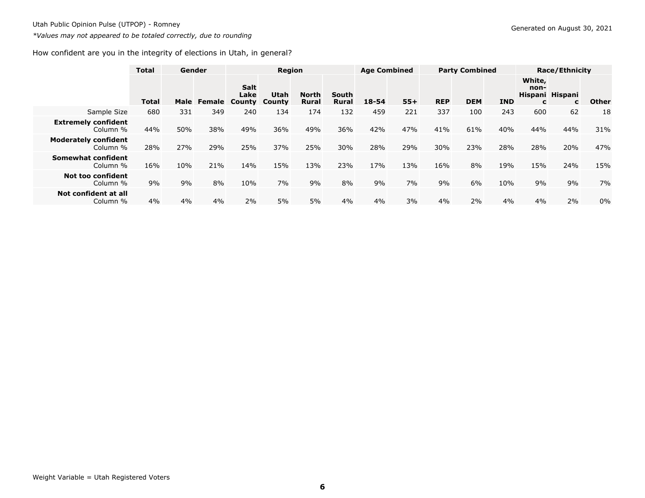# How confident are you in the integrity of elections in Utah, in general?

|                                         | <b>Total</b> | Gender |     |                                             | Region                       |                |                       | <b>Age Combined</b> |       | <b>Party Combined</b> |            |            | <b>Race/Ethnicity</b> |                      |              |
|-----------------------------------------|--------------|--------|-----|---------------------------------------------|------------------------------|----------------|-----------------------|---------------------|-------|-----------------------|------------|------------|-----------------------|----------------------|--------------|
|                                         | <b>Total</b> | Male   |     | <b>Salt</b><br>Lake<br><b>Female County</b> | <b>Utah</b><br><b>County</b> | North<br>Rural | South<br><b>Rural</b> | $18 - 54$           | $55+$ | <b>REP</b>            | <b>DEM</b> | <b>IND</b> | White,<br>non-<br>c   | Hispani Hispani<br>C | <b>Other</b> |
| Sample Size                             | 680          | 331    | 349 | 240                                         | 134                          | 174            | 132                   | 459                 | 221   | 337                   | 100        | 243        | 600                   | 62                   | 18           |
| <b>Extremely confident</b><br>Column %  | 44%          | 50%    | 38% | 49%                                         | 36%                          | 49%            | 36%                   | 42%                 | 47%   | 41%                   | 61%        | 40%        | 44%                   | 44%                  | 31%          |
| <b>Moderately confident</b><br>Column % | 28%          | 27%    | 29% | 25%                                         | 37%                          | 25%            | 30%                   | 28%                 | 29%   | 30%                   | 23%        | 28%        | 28%                   | 20%                  | 47%          |
| Somewhat confident<br>Column %          | 16%          | 10%    | 21% | 14%                                         | 15%                          | 13%            | 23%                   | 17%                 | 13%   | 16%                   | 8%         | 19%        | 15%                   | 24%                  | 15%          |
| <b>Not too confident</b><br>Column %    | 9%           | 9%     | 8%  | 10%                                         | 7%                           | 9%             | 8%                    | 9%                  | 7%    | 9%                    | 6%         | 10%        | 9%                    | 9%                   | 7%           |
| Not confident at all<br>Column %        | 4%           | 4%     | 4%  | 2%                                          | 5%                           | 5%             | 4%                    | 4%                  | 3%    | 4%                    | 2%         | 4%         | 4%                    | 2%                   | $0\%$        |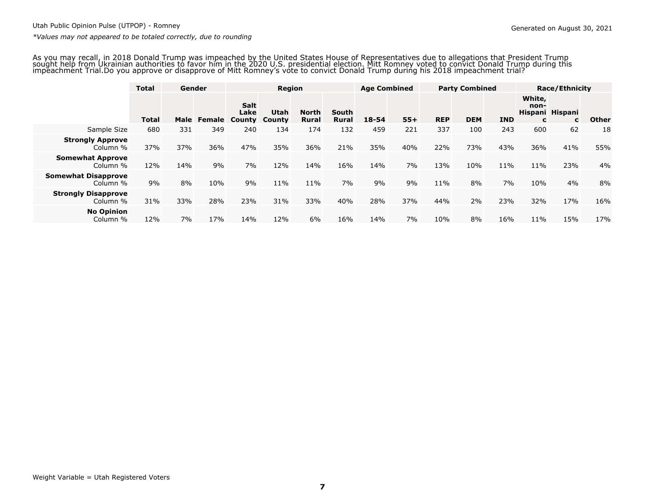As you may recall, in 2018 Donald Trump was impeached by the United States House of Representatives due to allegations that President Trump sought help from Ukrainian authorities to favor him in the 2020 U.S. presidential election. Mitt Romney voted to convict Donald Trump during thisimpeachment Trial.Do you approve or disapprove of Mitt Romney's vote to convict Donald Trump during his 2018 impeachment trial?

|                                        | <b>Total</b> |     | Gender             |                     |                              | <b>Region</b>                |                       | <b>Age Combined</b> |       | <b>Party Combined</b> |            |            | <b>Race/Ethnicity</b>                  |     |              |
|----------------------------------------|--------------|-----|--------------------|---------------------|------------------------------|------------------------------|-----------------------|---------------------|-------|-----------------------|------------|------------|----------------------------------------|-----|--------------|
|                                        | <b>Total</b> |     | Male Female County | <b>Salt</b><br>Lake | <b>Utah</b><br><b>County</b> | <b>North</b><br><b>Rural</b> | South<br><b>Rural</b> | $18 - 54$           | $55+$ | <b>REP</b>            | <b>DEM</b> | <b>IND</b> | White,<br>non-<br>Hispani Hispani<br>C | C   | <b>Other</b> |
| Sample Size                            | 680          | 331 | 349                | 240                 | 134                          | 174                          | 132                   | 459                 | 221   | 337                   | 100        | 243        | 600                                    | 62  | 18           |
| <b>Strongly Approve</b><br>Column %    | 37%          | 37% | 36%                | 47%                 | 35%                          | 36%                          | 21%                   | 35%                 | 40%   | 22%                   | 73%        | 43%        | 36%                                    | 41% | 55%          |
| <b>Somewhat Approve</b><br>Column %    | 12%          | 14% | 9%                 | 7%                  | 12%                          | 14%                          | 16%                   | 14%                 | 7%    | 13%                   | 10%        | 11%        | 11%                                    | 23% | 4%           |
| <b>Somewhat Disapprove</b><br>Column % | 9%           | 8%  | 10%                | 9%                  | 11%                          | 11%                          | 7%                    | 9%                  | 9%    | 11%                   | 8%         | 7%         | 10%                                    | 4%  | 8%           |
| <b>Strongly Disapprove</b><br>Column % | 31%          | 33% | 28%                | 23%                 | 31%                          | 33%                          | 40%                   | 28%                 | 37%   | 44%                   | 2%         | 23%        | 32%                                    | 17% | 16%          |
| <b>No Opinion</b><br>Column %          | 12%          | 7%  | 17%                | 14%                 | 12%                          | 6%                           | 16%                   | 14%                 | 7%    | 10%                   | 8%         | 16%        | 11%                                    | 15% | 17%          |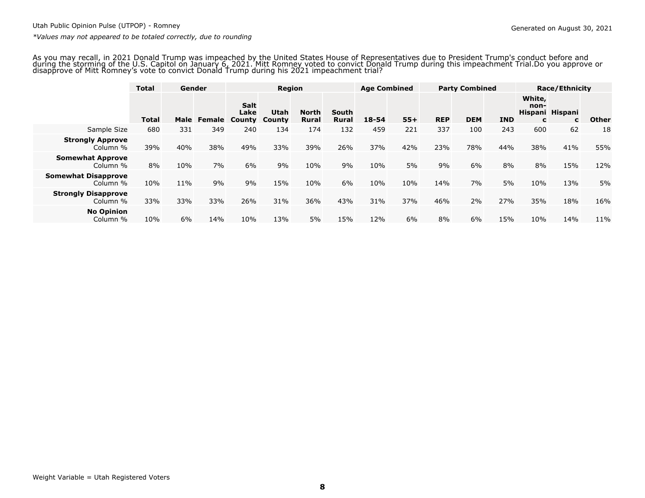As you may recall, in 2021 Donald Trump was impeached by the United States House of Representatives due to President Trump's conduct before and during the storming of the U.S. Capitol on January 6, 2021. Mitt Romney voted to convict Donald Trump during this impeachment Trial.Do you approve ordisapprove of Mitt Romney's vote to convict Donald Trump during his 2021 impeachment trial?

|                                        | <b>Total</b> | Gender |             |                                      | <b>Region</b>                |                              | <b>Age Combined</b> |           | <b>Party Combined</b> |            |            | <b>Race/Ethnicity</b> |                     |                      |              |
|----------------------------------------|--------------|--------|-------------|--------------------------------------|------------------------------|------------------------------|---------------------|-----------|-----------------------|------------|------------|-----------------------|---------------------|----------------------|--------------|
|                                        | <b>Total</b> |        | Male Female | <b>Salt</b><br>Lake<br><b>County</b> | <b>Utah</b><br><b>County</b> | <b>North</b><br><b>Rural</b> | South<br>Rural      | $18 - 54$ | $55+$                 | <b>REP</b> | <b>DEM</b> | <b>IND</b>            | White,<br>non-<br>C | Hispani Hispani<br>C | <b>Other</b> |
| Sample Size                            | 680          | 331    | 349         | 240                                  | 134                          | 174                          | 132                 | 459       | 221                   | 337        | 100        | 243                   | 600                 | 62                   | 18           |
| <b>Strongly Approve</b><br>Column %    | 39%          | 40%    | 38%         | 49%                                  | 33%                          | 39%                          | 26%                 | 37%       | 42%                   | 23%        | 78%        | 44%                   | 38%                 | 41%                  | 55%          |
| <b>Somewhat Approve</b><br>Column %    | 8%           | 10%    | 7%          | 6%                                   | 9%                           | 10%                          | 9%                  | 10%       | 5%                    | 9%         | 6%         | 8%                    | 8%                  | 15%                  | 12%          |
| <b>Somewhat Disapprove</b><br>Column % | 10%          | 11%    | 9%          | 9%                                   | 15%                          | 10%                          | 6%                  | 10%       | 10%                   | 14%        | 7%         | 5%                    | 10%                 | 13%                  | 5%           |
| <b>Strongly Disapprove</b><br>Column % | 33%          | 33%    | 33%         | 26%                                  | 31%                          | 36%                          | 43%                 | 31%       | 37%                   | 46%        | 2%         | 27%                   | 35%                 | 18%                  | 16%          |
| <b>No Opinion</b><br>Column %          | 10%          | 6%     | 14%         | 10%                                  | 13%                          | 5%                           | 15%                 | 12%       | 6%                    | 8%         | 6%         | 15%                   | 10%                 | 14%                  | 11%          |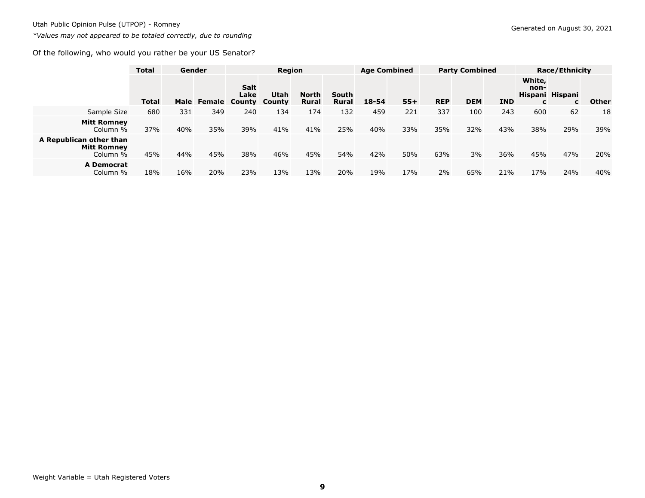### Of the following, who would you rather be your US Senator?

|                                                           | <b>Total</b> |     | Gender      |                               | Region                |                       |                       | <b>Age Combined</b> |       | <b>Party Combined</b> |            |            | <b>Race/Ethnicity</b> |                      |              |  |
|-----------------------------------------------------------|--------------|-----|-------------|-------------------------------|-----------------------|-----------------------|-----------------------|---------------------|-------|-----------------------|------------|------------|-----------------------|----------------------|--------------|--|
|                                                           | <b>Total</b> |     | Male Female | <b>Salt</b><br>Lake<br>County | <b>Utah</b><br>County | North<br><b>Rural</b> | South<br><b>Rural</b> | $18 - 54$           | $55+$ | <b>REP</b>            | <b>DEM</b> | <b>IND</b> | White,<br>non-<br>C   | Hispani Hispani<br>C | <b>Other</b> |  |
| Sample Size                                               | 680          | 331 | 349         | 240                           | 134                   | 174                   | 132                   | 459                 | 221   | 337                   | 100        | 243        | 600                   | 62                   | 18           |  |
| <b>Mitt Romney</b><br>Column %                            | 37%          | 40% | 35%         | 39%                           | 41%                   | 41%                   | 25%                   | 40%                 | 33%   | 35%                   | 32%        | 43%        | 38%                   | 29%                  | 39%          |  |
| A Republican other than<br><b>Mitt Romney</b><br>Column % | 45%          | 44% | 45%         | 38%                           | 46%                   | 45%                   | 54%                   | 42%                 | 50%   | 63%                   | 3%         | 36%        | 45%                   | 47%                  | 20%          |  |
| <b>A Democrat</b><br>Column %                             | 18%          | 16% | 20%         | 23%                           | 13%                   | 13%                   | 20%                   | 19%                 | 17%   | 2%                    | 65%        | 21%        | 17%                   | 24%                  | 40%          |  |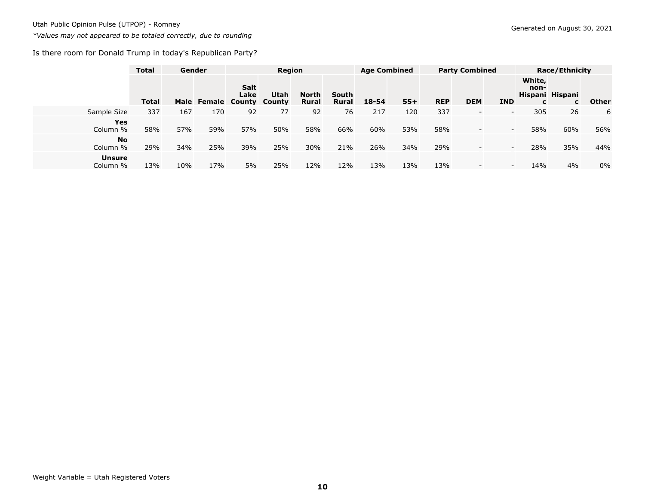Is there room for Donald Trump in today's Republican Party?

|                           | <b>Total</b> | Gender |     |                                           |                | Region                |                       |           | <b>Age Combined</b> |            | <b>Party Combined</b>    |                  |                     | <b>Race/Ethnicity</b> |              |  |  |
|---------------------------|--------------|--------|-----|-------------------------------------------|----------------|-----------------------|-----------------------|-----------|---------------------|------------|--------------------------|------------------|---------------------|-----------------------|--------------|--|--|
|                           | <b>Total</b> |        |     | <b>Salt</b><br>Lake<br>Male Female County | Utah<br>County | North<br><b>Rural</b> | South<br><b>Rural</b> | $18 - 54$ | $55+$               | <b>REP</b> | <b>DEM</b>               | <b>IND</b>       | White,<br>non-<br>C | Hispani Hispani<br>C  | <b>Other</b> |  |  |
| Sample Size               | 337          | 167    | 170 | 92                                        | 77             | 92                    | 76                    | 217       | 120                 | 337        | $\overline{\phantom{a}}$ | $\sim$           | 305                 | 26                    | 6            |  |  |
| <b>Yes</b><br>Column %    | 58%          | 57%    | 59% | 57%                                       | 50%            | 58%                   | 66%                   | 60%       | 53%                 | 58%        | $\overline{\phantom{a}}$ | $\sim$           | 58%                 | 60%                   | 56%          |  |  |
| <b>No</b><br>Column %     | 29%          | 34%    | 25% | 39%                                       | 25%            | 30%                   | 21%                   | 26%       | 34%                 | 29%        | $\overline{\phantom{a}}$ | $\sim$           | 28%                 | 35%                   | 44%          |  |  |
| <b>Unsure</b><br>Column % | 13%          | 10%    | 17% | 5%                                        | 25%            | 12%                   | 12%                   | 13%       | 13%                 | 13%        | $\overline{\phantom{a}}$ | $\sim$ 100 $\pm$ | 14%                 | 4%                    | $0\%$        |  |  |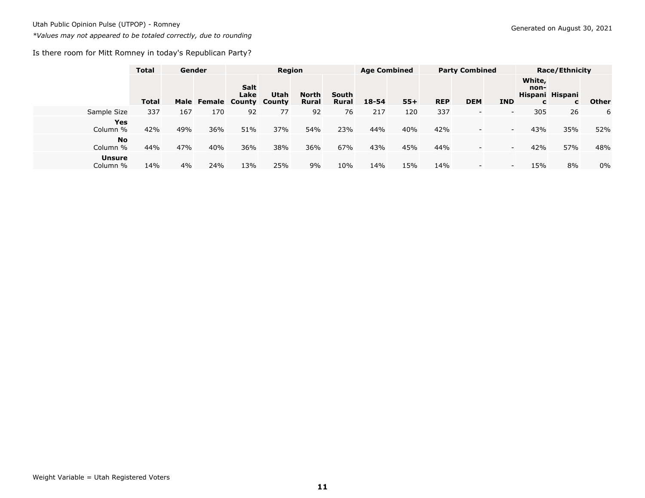Is there room for Mitt Romney in today's Republican Party?

|                           | <b>Total</b> |     | Gender             | Region       |                |                              |                       | <b>Age Combined</b> |       | <b>Party Combined</b> |                          |                 | <b>Race/Ethnicity</b> |                      |       |
|---------------------------|--------------|-----|--------------------|--------------|----------------|------------------------------|-----------------------|---------------------|-------|-----------------------|--------------------------|-----------------|-----------------------|----------------------|-------|
|                           | <b>Total</b> |     | Male Female County | Salt<br>Lake | Utah<br>County | <b>North</b><br><b>Rural</b> | South<br><b>Rural</b> | $18 - 54$           | $55+$ | <b>REP</b>            | <b>DEM</b>               | <b>IND</b>      | White,<br>non-<br>C   | Hispani Hispani<br>C | Other |
| Sample Size               | 337          | 167 | 170                | 92           | 77             | 92                           | 76                    | 217                 | 120   | 337                   | $\overline{\phantom{0}}$ | $\sim$          | 305                   | 26                   | 6     |
| <b>Yes</b><br>Column %    | 42%          | 49% | 36%                | 51%          | 37%            | 54%                          | 23%                   | 44%                 | 40%   | 42%                   | $\overline{\phantom{a}}$ | $\sim$          | 43%                   | 35%                  | 52%   |
| <b>No</b><br>Column %     | 44%          | 47% | 40%                | 36%          | 38%            | 36%                          | 67%                   | 43%                 | 45%   | 44%                   | $\overline{\phantom{a}}$ | $\sim$          | 42%                   | 57%                  | 48%   |
| <b>Unsure</b><br>Column % | 14%          | 4%  | 24%                | 13%          | 25%            | 9%                           | 10%                   | 14%                 | 15%   | 14%                   | $\overline{\phantom{a}}$ | $\sim$ 100 $\,$ | 15%                   | 8%                   | 0%    |